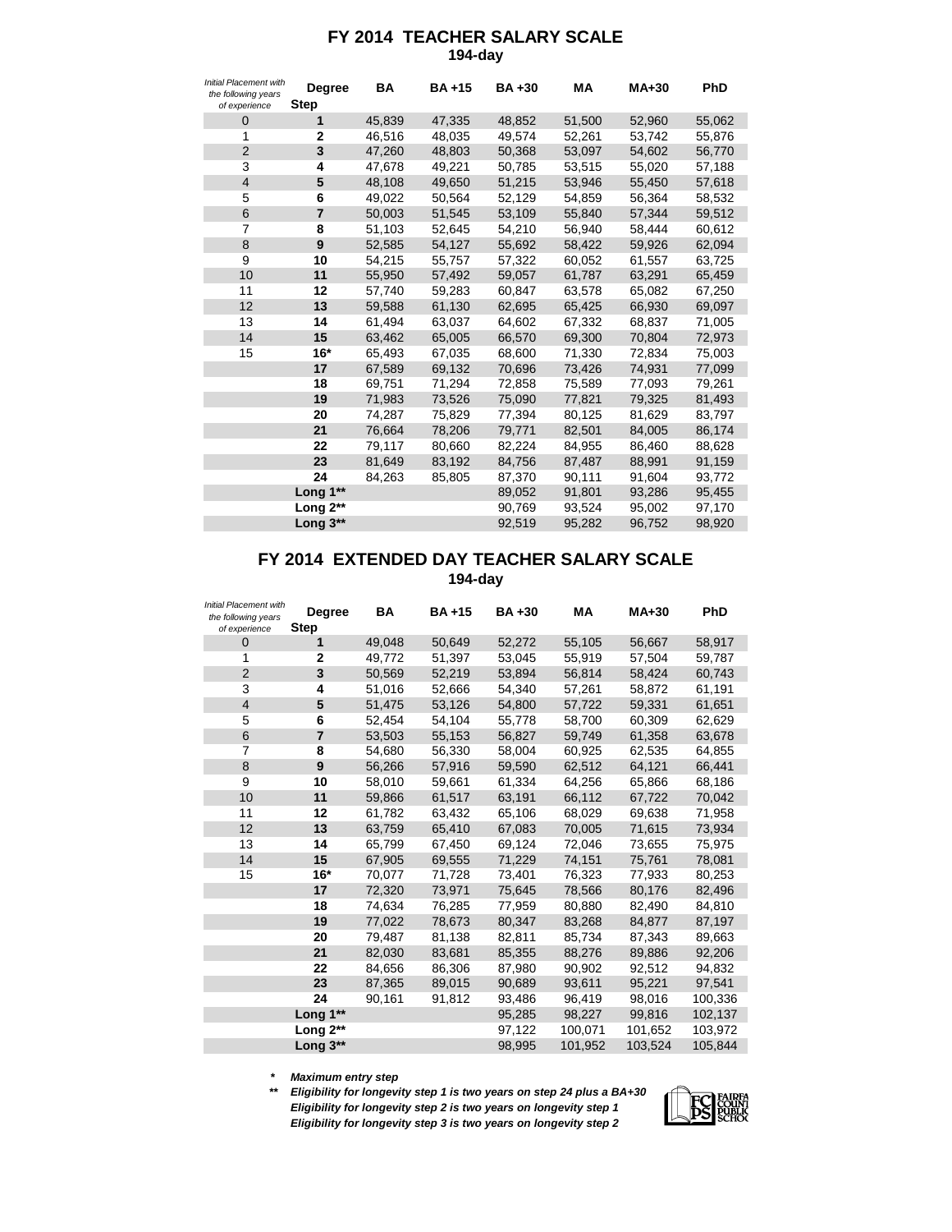## **FY 2014 TEACHER SALARY SCALE 194-day**

| <b>Initial Placement with</b><br>the following years<br>of experience | <b>Degree</b><br><b>Step</b> | <b>BA</b> | <b>BA+15</b> | <b>BA+30</b> | <b>MA</b> | <b>MA+30</b> | PhD    |
|-----------------------------------------------------------------------|------------------------------|-----------|--------------|--------------|-----------|--------------|--------|
| $\mathbf 0$                                                           | 1                            | 45,839    | 47,335       | 48,852       | 51,500    | 52,960       | 55,062 |
| 1                                                                     | 2                            | 46,516    | 48,035       | 49,574       | 52,261    | 53,742       | 55,876 |
| $\overline{2}$                                                        | 3                            | 47,260    | 48,803       | 50,368       | 53,097    | 54,602       | 56,770 |
| 3                                                                     | 4                            | 47,678    | 49,221       | 50,785       | 53,515    | 55,020       | 57,188 |
| $\overline{4}$                                                        | 5                            | 48,108    | 49,650       | 51,215       | 53,946    | 55,450       | 57,618 |
| 5                                                                     | 6                            | 49,022    | 50,564       | 52,129       | 54,859    | 56,364       | 58,532 |
| $6\phantom{1}$                                                        | $\overline{7}$               | 50,003    | 51,545       | 53,109       | 55,840    | 57,344       | 59,512 |
| $\overline{7}$                                                        | 8                            | 51,103    | 52,645       | 54,210       | 56,940    | 58,444       | 60,612 |
| 8                                                                     | 9                            | 52,585    | 54,127       | 55,692       | 58,422    | 59,926       | 62,094 |
| 9                                                                     | 10                           | 54,215    | 55,757       | 57,322       | 60,052    | 61,557       | 63,725 |
| 10                                                                    | 11                           | 55,950    | 57,492       | 59,057       | 61,787    | 63,291       | 65,459 |
| 11                                                                    | 12                           | 57,740    | 59,283       | 60,847       | 63,578    | 65,082       | 67,250 |
| 12                                                                    | 13                           | 59,588    | 61,130       | 62,695       | 65,425    | 66,930       | 69,097 |
| 13                                                                    | 14                           | 61,494    | 63,037       | 64,602       | 67,332    | 68,837       | 71,005 |
| 14                                                                    | 15                           | 63,462    | 65,005       | 66,570       | 69,300    | 70,804       | 72,973 |
| 15                                                                    | $16*$                        | 65,493    | 67,035       | 68,600       | 71,330    | 72,834       | 75,003 |
|                                                                       | 17                           | 67,589    | 69,132       | 70,696       | 73,426    | 74,931       | 77,099 |
|                                                                       | 18                           | 69,751    | 71,294       | 72,858       | 75,589    | 77,093       | 79,261 |
|                                                                       | 19                           | 71,983    | 73,526       | 75,090       | 77,821    | 79,325       | 81,493 |
|                                                                       | 20                           | 74,287    | 75,829       | 77,394       | 80,125    | 81,629       | 83,797 |
|                                                                       | 21                           | 76,664    | 78,206       | 79,771       | 82,501    | 84,005       | 86,174 |
|                                                                       | 22                           | 79,117    | 80,660       | 82,224       | 84,955    | 86,460       | 88,628 |
|                                                                       | 23                           | 81,649    | 83,192       | 84,756       | 87,487    | 88,991       | 91,159 |
|                                                                       | 24                           | 84,263    | 85,805       | 87,370       | 90,111    | 91,604       | 93,772 |
|                                                                       | Long 1**                     |           |              | 89,052       | 91,801    | 93,286       | 95,455 |
|                                                                       | Long 2**                     |           |              | 90,769       | 93,524    | 95,002       | 97,170 |
|                                                                       | Long 3**                     |           |              | 92,519       | 95,282    | 96,752       | 98,920 |

## **FY 2014 EXTENDED DAY TEACHER SALARY SCALE**

**194-day**

| Initial Placement with<br>the following years<br>of experience | <b>Degree</b><br><b>Step</b> | BA     | <b>BA+15</b> | <b>BA+30</b> | <b>MA</b> | <b>MA+30</b> | PhD     |
|----------------------------------------------------------------|------------------------------|--------|--------------|--------------|-----------|--------------|---------|
| 0                                                              | 1                            | 49,048 | 50,649       | 52,272       | 55,105    | 56,667       | 58,917  |
| 1                                                              | 2                            | 49,772 | 51,397       | 53,045       | 55,919    | 57,504       | 59,787  |
| 2                                                              | 3                            | 50,569 | 52,219       | 53,894       | 56,814    | 58,424       | 60,743  |
| 3                                                              | 4                            | 51,016 | 52,666       | 54,340       | 57,261    | 58,872       | 61,191  |
| $\overline{4}$                                                 | 5                            | 51,475 | 53,126       | 54,800       | 57,722    | 59,331       | 61,651  |
| 5                                                              | 6                            | 52,454 | 54,104       | 55,778       | 58,700    | 60,309       | 62,629  |
| 6                                                              | $\overline{7}$               | 53,503 | 55,153       | 56,827       | 59,749    | 61,358       | 63,678  |
| 7                                                              | 8                            | 54,680 | 56,330       | 58,004       | 60,925    | 62,535       | 64,855  |
| 8                                                              | 9                            | 56,266 | 57,916       | 59,590       | 62,512    | 64,121       | 66,441  |
| 9                                                              | 10                           | 58,010 | 59,661       | 61,334       | 64,256    | 65,866       | 68,186  |
| 10                                                             | 11                           | 59,866 | 61,517       | 63,191       | 66,112    | 67,722       | 70,042  |
| 11                                                             | 12                           | 61,782 | 63,432       | 65,106       | 68,029    | 69,638       | 71,958  |
| 12                                                             | 13                           | 63,759 | 65,410       | 67,083       | 70,005    | 71,615       | 73,934  |
| 13                                                             | 14                           | 65,799 | 67,450       | 69,124       | 72,046    | 73,655       | 75,975  |
| 14                                                             | 15                           | 67,905 | 69,555       | 71,229       | 74,151    | 75,761       | 78,081  |
| 15                                                             | $16*$                        | 70,077 | 71,728       | 73,401       | 76,323    | 77,933       | 80,253  |
|                                                                | 17                           | 72,320 | 73,971       | 75,645       | 78,566    | 80,176       | 82,496  |
|                                                                | 18                           | 74,634 | 76,285       | 77,959       | 80,880    | 82,490       | 84,810  |
|                                                                | 19                           | 77,022 | 78,673       | 80,347       | 83,268    | 84,877       | 87,197  |
|                                                                | 20                           | 79,487 | 81,138       | 82,811       | 85,734    | 87,343       | 89,663  |
|                                                                | 21                           | 82,030 | 83,681       | 85,355       | 88,276    | 89,886       | 92,206  |
|                                                                | 22                           | 84,656 | 86,306       | 87,980       | 90,902    | 92,512       | 94,832  |
|                                                                | 23                           | 87,365 | 89,015       | 90,689       | 93,611    | 95,221       | 97,541  |
|                                                                | 24                           | 90,161 | 91,812       | 93,486       | 96,419    | 98,016       | 100,336 |
|                                                                | Long 1**                     |        |              | 95,285       | 98,227    | 99,816       | 102,137 |
|                                                                | Long $2^{**}$                |        |              | 97,122       | 100,071   | 101,652      | 103,972 |
|                                                                | Long 3**                     |        |              | 98.995       | 101,952   | 103.524      | 105.844 |

*\* Maximum entry step*

*\*\* Eligibility for longevity step 1 is two years on step 24 plus a BA+30 Eligibility for longevity step 2 is two years on longevity step 1 Eligibility for longevity step 3 is two years on longevity step 2*